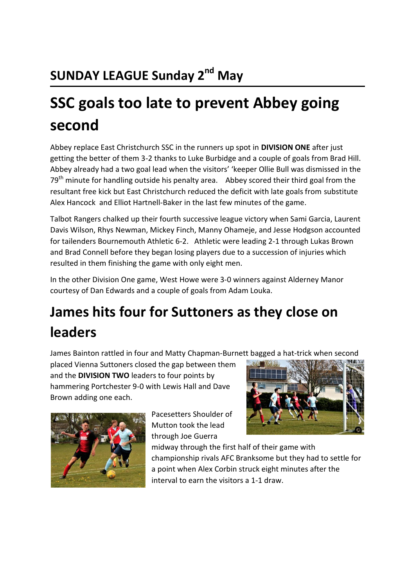# **SSC goals too late to prevent Abbey going second**

Abbey replace East Christchurch SSC in the runners up spot in **DIVISION ONE** after just getting the better of them 3-2 thanks to Luke Burbidge and a couple of goals from Brad Hill. Abbey already had a two goal lead when the visitors' 'keeper Ollie Bull was dismissed in the  $79<sup>th</sup>$  minute for handling outside his penalty area. Abbey scored their third goal from the resultant free kick but East Christchurch reduced the deficit with late goals from substitute Alex Hancock and Elliot Hartnell-Baker in the last few minutes of the game.

Talbot Rangers chalked up their fourth successive league victory when Sami Garcia, Laurent Davis Wilson, Rhys Newman, Mickey Finch, Manny Ohameje, and Jesse Hodgson accounted for tailenders Bournemouth Athletic 6-2. Athletic were leading 2-1 through Lukas Brown and Brad Connell before they began losing players due to a succession of injuries which resulted in them finishing the game with only eight men.

In the other Division One game, West Howe were 3-0 winners against Alderney Manor courtesy of Dan Edwards and a couple of goals from Adam Louka.

## **James hits four for Suttoners as they close on leaders**

James Bainton rattled in four and Matty Chapman-Burnett bagged a hat-trick when second

placed Vienna Suttoners closed the gap between them and the **DIVISION TWO** leaders to four points by hammering Portchester 9-0 with Lewis Hall and Dave Brown adding one each.



Pacesetters Shoulder of Mutton took the lead through Joe Guerra



midway through the first half of their game with championship rivals AFC Branksome but they had to settle for a point when Alex Corbin struck eight minutes after the interval to earn the visitors a 1-1 draw.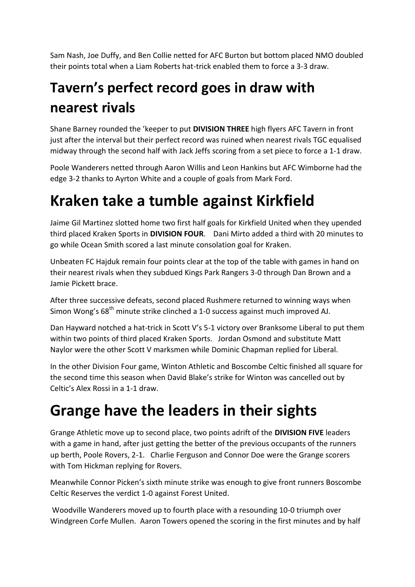Sam Nash, Joe Duffy, and Ben Collie netted for AFC Burton but bottom placed NMO doubled their points total when a Liam Roberts hat-trick enabled them to force a 3-3 draw.

#### **Tavern's perfect record goes in draw with nearest rivals**

Shane Barney rounded the 'keeper to put **DIVISION THREE** high flyers AFC Tavern in front just after the interval but their perfect record was ruined when nearest rivals TGC equalised midway through the second half with Jack Jeffs scoring from a set piece to force a 1-1 draw.

Poole Wanderers netted through Aaron Willis and Leon Hankins but AFC Wimborne had the edge 3-2 thanks to Ayrton White and a couple of goals from Mark Ford.

#### **Kraken take a tumble against Kirkfield**

Jaime Gil Martinez slotted home two first half goals for Kirkfield United when they upended third placed Kraken Sports in **DIVISION FOUR**. Dani Mirto added a third with 20 minutes to go while Ocean Smith scored a last minute consolation goal for Kraken.

Unbeaten FC Hajduk remain four points clear at the top of the table with games in hand on their nearest rivals when they subdued Kings Park Rangers 3-0 through Dan Brown and a Jamie Pickett brace.

After three successive defeats, second placed Rushmere returned to winning ways when Simon Wong's 68<sup>th</sup> minute strike clinched a 1-0 success against much improved AJ.

Dan Hayward notched a hat-trick in Scott V's 5-1 victory over Branksome Liberal to put them within two points of third placed Kraken Sports. Jordan Osmond and substitute Matt Naylor were the other Scott V marksmen while Dominic Chapman replied for Liberal.

In the other Division Four game, Winton Athletic and Boscombe Celtic finished all square for the second time this season when David Blake's strike for Winton was cancelled out by Celtic's Alex Rossi in a 1-1 draw.

#### **Grange have the leaders in their sights**

Grange Athletic move up to second place, two points adrift of the **DIVISION FIVE** leaders with a game in hand, after just getting the better of the previous occupants of the runners up berth, Poole Rovers, 2-1. Charlie Ferguson and Connor Doe were the Grange scorers with Tom Hickman replying for Rovers.

Meanwhile Connor Picken's sixth minute strike was enough to give front runners Boscombe Celtic Reserves the verdict 1-0 against Forest United.

Woodville Wanderers moved up to fourth place with a resounding 10-0 triumph over Windgreen Corfe Mullen. Aaron Towers opened the scoring in the first minutes and by half